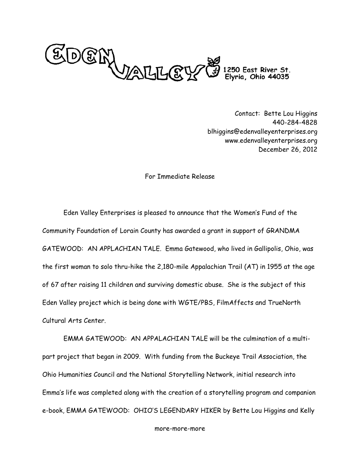

Contact: Bette Lou Higgins 440-284-4828 blhiggins@edenvalleyenterprises.org www.edenvalleyenterprises.org December 26, 2012

## For Immediate Release

Eden Valley Enterprises is pleased to announce that the Women's Fund of the Community Foundation of Lorain County has awarded a grant in support of GRANDMA GATEWOOD: AN APPLACHIAN TALE. Emma Gatewood, who lived in Gallipolis, Ohio, was the first woman to solo thru-hike the 2,180-mile Appalachian Trail (AT) in 1955 at the age of 67 after raising 11 children and surviving domestic abuse. She is the subject of this Eden Valley project which is being done with WGTE/PBS, FilmAffects and TrueNorth Cultural Arts Center.

EMMA GATEWOOD: AN APPALACHIAN TALE will be the culmination of a multipart project that began in 2009. With funding from the Buckeye Trail Association, the Ohio Humanities Council and the National Storytelling Network, initial research into Emma's life was completed along with the creation of a storytelling program and companion e-book, EMMA GATEWOOD: OHIO'S LEGENDARY HIKER by Bette Lou Higgins and Kelly